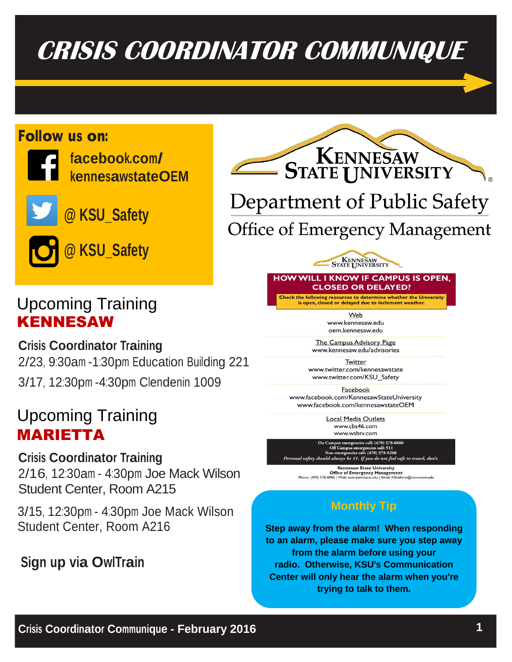# **CRISIS COORDINATOR COMMUNIQUE**

## Follow us on:



**facebook.com/ kennesawstateOEM**

**@ KSU\_Safety**



# Upcoming Training KENNESAW

**Crisis Coordinator Training** 2/23, 9:30am -1:30pm Education Building 221 3/17, 12:30pm -4:30pm Clendenin 1009

# Upcoming Training MARIETTA

**Crisis Coordinator Training** 2/16, 12:30am - 4:30pm Joe Mack Wilson Student Center, Room A215

3/15, 12:30pm - 4:30pm Joe Mack Wilson Student Center, Room A216

# **Sign up via OwlTrain**



# Department of Public Safety

**Office of Emergency Management** 

**HOW WILL I KNOW IF CAMPUS IS OPEN. CLOSED OR DELAYED?** 

**KENNESAW**<br>STATE **I** INIVERSITY

Check the following resources to determine whether the University<br>is open, closed or delayed due to inclement weather.

Web www.kennesaw.edu oem.kennesaw.edu

The Campus Advisory Page www.kennesaw.edu/advisories

Twitter www.twitter.com/kennesawstate www.twitter.com/KSU\_Safety

Facebook www.facebook.com/KennesawStateUniversity www.facebook.com/kennesawstateOEM

> Local Media Outlets www.cbs46.com www.wsbtv.com

On Campus emergencies call: (470) 578-6666<br>Off Campus emergencies call: 911<br>Non-emergencies call: (470) 578-6206<br>nal safety should always be #1. If you do not feel safe to travel, don't.

Kennesaw State University CHE of Emergency Management<br>Phone: (470) 578-6985 | Web: cem.kennesaw.edu | Email: KSUalerts@kennesaw.edu

### **Monthly Tip**

**Step away from the alarm! When responding to an alarm, please make sure you step away from the alarm before using your radio. Otherwise, KSU's Communication Center will only hear the alarm when you're trying to talk to them.**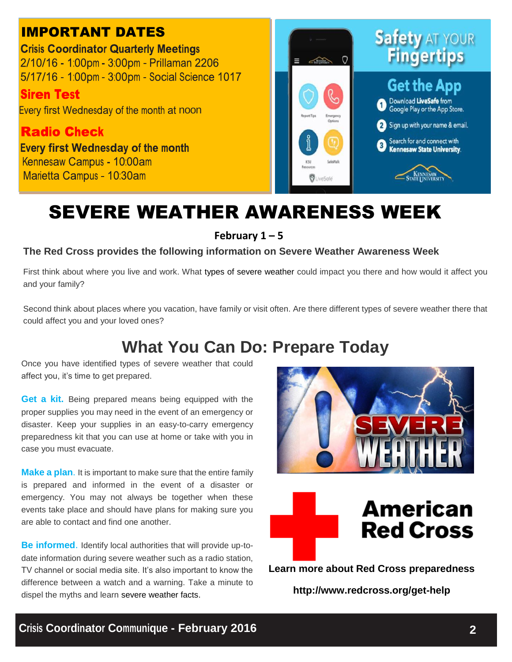## IMPORTANT DATES

**Crisis Coordinator Quarterly Meetings** 2/10/16 - 1:00pm - 3:00pm - Prillaman 2206 5/17/16 - 1:00pm - 3:00pm - Social Science 1017

**Siren Test** 

Every first Wednesday of the month at noon

**Radio Check Every first Wednesday of the month** Kennesaw Campus - 10:00am Marietta Campus - 10:30am



# SEVERE WEATHER AWARENESS WEEK

**February 1 – 5**

#### **The Red Cross provides the following information on Severe Weather Awareness Week**

First think about where you live and work. What [types of severe weather](http://www.redcross.org/prepare/disaster) could impact you there and how would it affect you and your family?

Second think about places where you vacation, have family or visit often. Are there different types of severe weather there that could affect you and your loved ones?

# **What You Can Do: Prepare Today**

Once you have identified types of severe weather that could affect you, it's time to get prepared.

**[Get a kit.](http://www.redcross.org/prepare/location/home-family/get-kit)** Being prepared means being equipped with the proper supplies you may need in the event of an emergency or disaster. Keep your supplies in an easy-to-carry emergency preparedness kit that you can use at home or take with you in case you must evacuate.

**[Make a plan](http://www.redcross.org/prepare/location/home-family/plan)**. It is important to make sure that the entire family is prepared and informed in the event of a disaster or emergency. You may not always be together when these events take place and should have plans for making sure you are able to contact and find one another.

**[Be informed](http://www.redcross.org/prepare/location/home-family/informed)**. Identify local authorities that will provide up-todate information during severe weather such as a radio station, TV channel or social media site. It's also important to know the difference between a watch and a warning. Take a minute to dispel the myths and learn [severe weather facts.](http://www.redcross.org/news/galleries/Severe-Weather-Myths-vs-Facts)





**Learn more about Red Cross preparedness**

**http://www.redcross.org/get-help**